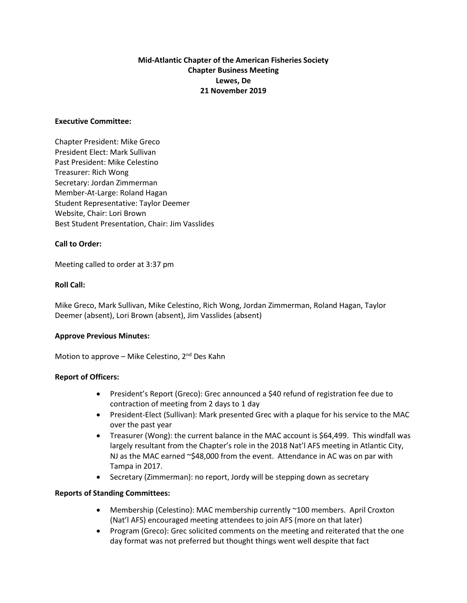# **Mid-Atlantic Chapter of the American Fisheries Society Chapter Business Meeting Lewes, De 21 November 2019**

#### **Executive Committee:**

Chapter President: Mike Greco President Elect: Mark Sullivan Past President: Mike Celestino Treasurer: Rich Wong Secretary: Jordan Zimmerman Member-At-Large: Roland Hagan Student Representative: Taylor Deemer Website, Chair: Lori Brown Best Student Presentation, Chair: Jim Vasslides

## **Call to Order:**

Meeting called to order at 3:37 pm

#### **Roll Call:**

Mike Greco, Mark Sullivan, Mike Celestino, Rich Wong, Jordan Zimmerman, Roland Hagan, Taylor Deemer (absent), Lori Brown (absent), Jim Vasslides (absent)

## **Approve Previous Minutes:**

Motion to approve – Mike Celestino,  $2^{nd}$  Des Kahn

## **Report of Officers:**

- President's Report (Greco): Grec announced a \$40 refund of registration fee due to contraction of meeting from 2 days to 1 day
- President-Elect (Sullivan): Mark presented Grec with a plaque for his service to the MAC over the past year
- Treasurer (Wong): the current balance in the MAC account is \$64,499. This windfall was largely resultant from the Chapter's role in the 2018 Nat'l AFS meeting in Atlantic City, NJ as the MAC earned ~\$48,000 from the event. Attendance in AC was on par with Tampa in 2017.
- Secretary (Zimmerman): no report, Jordy will be stepping down as secretary

#### **Reports of Standing Committees:**

- Membership (Celestino): MAC membership currently ~100 members. April Croxton (Nat'l AFS) encouraged meeting attendees to join AFS (more on that later)
- Program (Greco): Grec solicited comments on the meeting and reiterated that the one day format was not preferred but thought things went well despite that fact